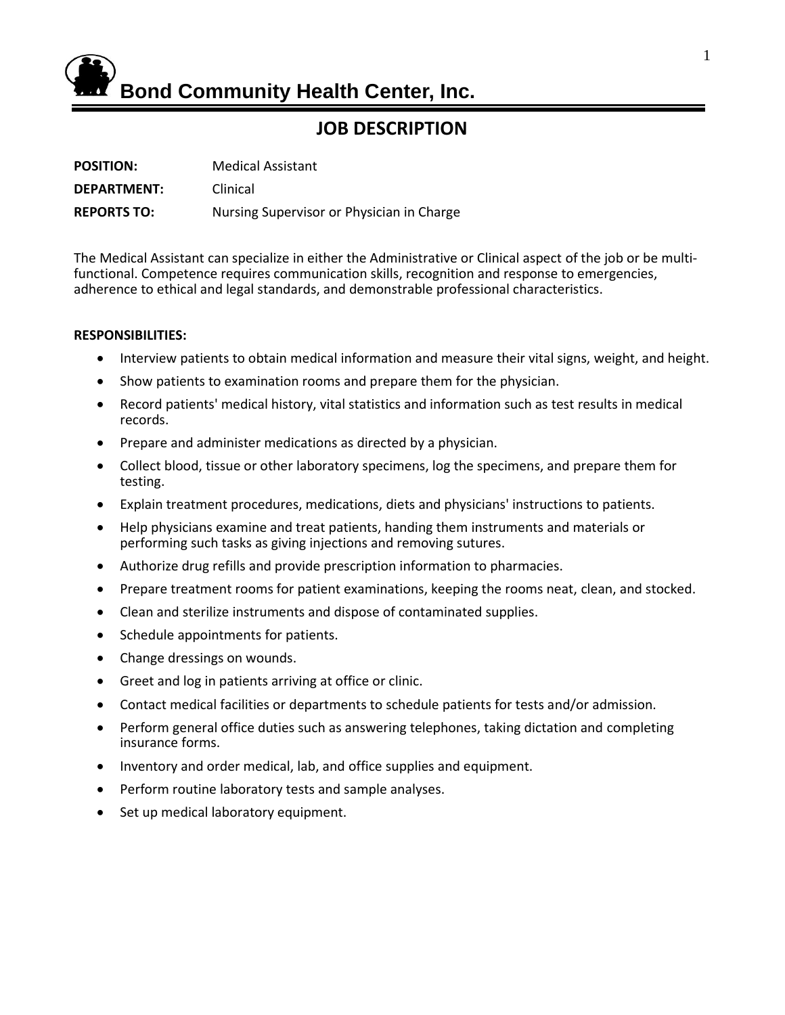

# **JOB DESCRIPTION**

| <b>POSITION:</b>   | <b>Medical Assistant</b>                  |
|--------------------|-------------------------------------------|
| DEPARTMENT:        | Clinical                                  |
| <b>REPORTS TO:</b> | Nursing Supervisor or Physician in Charge |

The Medical Assistant can specialize in either the Administrative or Clinical aspect of the job or be multifunctional. Competence requires communication skills, recognition and response to emergencies, adherence to ethical and legal standards, and demonstrable professional characteristics.

#### **RESPONSIBILITIES:**

- Interview patients to obtain [medical information](http://www.careerplanner.com/Job-Descriptions/Medical-Assistants.cfm) and measure their vital signs, weight, and height.
- Show patients to examination rooms and prepare them for the physician.
- Record patients' medical history, vital statistics and information such as test results in medical records.
- Prepare and administer medications as directed by a physician.
- Collect blood, tissue or other laboratory specimens, log the specimens, and prepare them for testing.
- Explain treatment procedures, medications, [diets](http://www.careerplanner.com/Job-Descriptions/Medical-Assistants.cfm) and physicians' instructions to patients.
- Help physicians examine and treat patients, handing them instruments and materials or performing such tasks as giving injections and removing sutures.
- Authorize drug refills and provide prescription information to pharmacies.
- Prepare treatment rooms for patient examinations, keeping the rooms neat, clean, and stocked.
- Clean and sterilize instruments and dispose of contaminated supplies.
- Schedule appointments for patients.
- Change dressings on wounds.
- Greet and log in patients arriving at office or clinic.
- Contact medical facilities or departments to schedule patients for tests and/or admission.
- Perform general office duties such as answering telephones, taking dictation and completing insurance forms.
- Inventory and order medical, lab, and office supplies and equipment.
- Perform routine laboratory tests and sample analyses.
- Set up medical laboratory equipment.